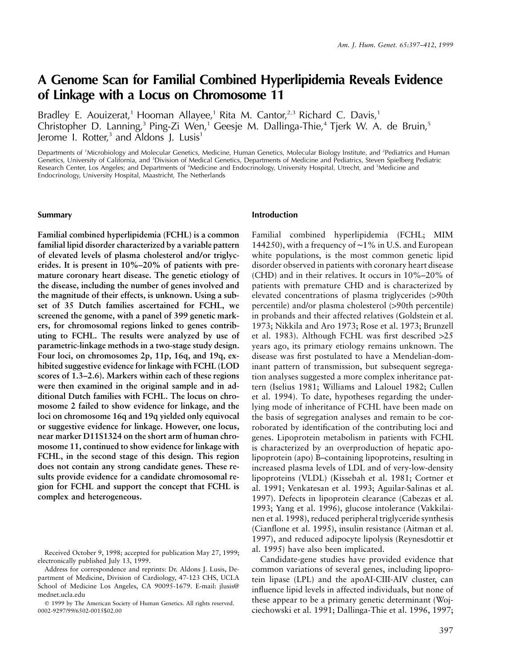# **A Genome Scan for Familial Combined Hyperlipidemia Reveals Evidence of Linkage with a Locus on Chromosome 11**

Bradley E. Aouizerat,<sup>1</sup> Hooman Allayee,<sup>1</sup> Rita M. Cantor,<sup>2,3</sup> Richard C. Davis,<sup>1</sup> Christopher D. Lanning,<sup>3</sup> Ping-Zi Wen,<sup>1</sup> Geesje M. Dallinga-Thie,<sup>4</sup> Tjerk W. A. de Bruin,<sup>5</sup> Jerome I. Rotter, $3$  and Aldons J. Lusis<sup>1</sup>

Departments of <sup>1</sup>Microbiology and Molecular Genetics, Medicine, Human Genetics, Molecular Biology Institute, and <sup>2</sup>Pediatrics and Human Genetics, University of California, and <sup>3</sup>Division of Medical Genetics, Departments of Medicine and Pediatrics, Steven Spielberg Pediatric Research Center, Los Angeles; and Departments of <sup>4</sup>Medicine and Endocrinology, University Hospital, Utrecht, and <sup>5</sup>Medicine and Endocrinology, University Hospital, Maastricht, The Netherlands

#### **Summary**

**Familial combined hyperlipidemia (FCHL) is a common familial lipid disorder characterized by a variable pattern of elevated levels of plasma cholesterol and/or triglycerides. It is present in 10%–20% of patients with premature coronary heart disease. The genetic etiology of the disease, including the number of genes involved and the magnitude of their effects, is unknown. Using a subset of 35 Dutch families ascertained for FCHL, we screened the genome, with a panel of 399 genetic markers, for chromosomal regions linked to genes contributing to FCHL. The results were analyzed by use of parametric-linkage methods in a two-stage study design. Four loci, on chromosomes 2p, 11p, 16q, and 19q, exhibited suggestive evidence for linkage with FCHL (LOD scores of 1.3–2.6). Markers within each of these regions were then examined in the original sample and in additional Dutch families with FCHL. The locus on chromosome 2 failed to show evidence for linkage, and the loci on chromosome 16q and 19q yielded only equivocal or suggestive evidence for linkage. However, one locus, near marker D11S1324 on the short arm of human chromosome 11, continued to show evidence for linkage with FCHL, in the second stage of this design. This region does not contain any strong candidate genes. These results provide evidence for a candidate chromosomal region for FCHL and support the concept that FCHL is complex and heterogeneous.**

#### **Introduction**

Familial combined hyperlipidemia (FCHL; MIM 144250), with a frequency of ∼1% in U.S. and European white populations, is the most common genetic lipid disorder observed in patients with coronary heart disease (CHD) and in their relatives. It occurs in 10%–20% of patients with premature CHD and is characterized by elevated concentrations of plasma triglycerides (>90th percentile) and/or plasma cholesterol (>90th percentile) in probands and their affected relatives (Goldstein et al. 1973; Nikkila and Aro 1973; Rose et al. 1973; Brunzell et al. 1983). Although FCHL was first described  $>25$ years ago, its primary etiology remains unknown. The disease was first postulated to have a Mendelian-dominant pattern of transmission, but subsequent segregation analyses suggested a more complex inheritance pattern (Iselius 1981; Williams and Lalouel 1982; Cullen et al. 1994). To date, hypotheses regarding the underlying mode of inheritance of FCHL have been made on the basis of segregation analyses and remain to be corroborated by identification of the contributing loci and genes. Lipoprotein metabolism in patients with FCHL is characterized by an overproduction of hepatic apolipoprotein (apo) B–containing lipoproteins, resulting in increased plasma levels of LDL and of very-low-density lipoproteins (VLDL) (Kissebah et al. 1981; Cortner et al. 1991; Venkatesan et al. 1993; Aguilar-Salinas et al. 1997). Defects in lipoprotein clearance (Cabezas et al. 1993; Yang et al. 1996), glucose intolerance (Vakkilainen et al. 1998), reduced peripheral triglyceride synthesis (Cianflone et al. 1995), insulin resistance (Aitman et al. 1997), and reduced adipocyte lipolysis (Reynesdottir et al. 1995) have also been implicated.

Candidate-gene studies have provided evidence that common variations of several genes, including lipoprotein lipase (LPL) and the apoAI-CIII-AIV cluster, can influence lipid levels in affected individuals, but none of these appear to be a primary genetic determinant (Wojciechowski et al. 1991; Dallinga-Thie et al. 1996, 1997;

Received October 9, 1998; accepted for publication May 27, 1999; electronically published July 13, 1999.

Address for correspondence and reprints: Dr. Aldons J. Lusis, Department of Medicine, Division of Cardiology, 47-123 CHS, UCLA School of Medicine Los Angeles, CA 90095-1679. E-mail: jlusis@ mednet.ucla.edu

 $©$  1999 by The American Society of Human Genetics. All rights reserved. 0002-9297/99/6502-0015\$02.00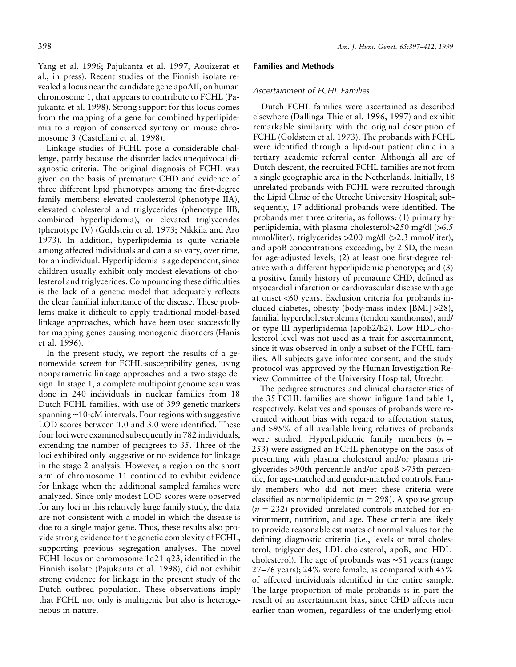Yang et al. 1996; Pajukanta et al. 1997; Aouizerat et al., in press). Recent studies of the Finnish isolate revealed a locus near the candidate gene apoAII, on human chromosome 1, that appears to contribute to FCHL (Pajukanta et al. 1998). Strong support for this locus comes from the mapping of a gene for combined hyperlipidemia to a region of conserved synteny on mouse chromosome 3 (Castellani et al. 1998).

Linkage studies of FCHL pose a considerable challenge, partly because the disorder lacks unequivocal diagnostic criteria. The original diagnosis of FCHL was given on the basis of premature CHD and evidence of three different lipid phenotypes among the first-degree family members: elevated cholesterol (phenotype IIA), elevated cholesterol and triglycerides (phenotype IIB, combined hyperlipidemia), or elevated triglycerides (phenotype IV) (Goldstein et al. 1973; Nikkila and Aro 1973). In addition, hyperlipidemia is quite variable among affected individuals and can also vary, over time, for an individual. Hyperlipidemia is age dependent, since children usually exhibit only modest elevations of cholesterol and triglycerides. Compounding these difficulties is the lack of a genetic model that adequately reflects the clear familial inheritance of the disease. These problems make it difficult to apply traditional model-based linkage approaches, which have been used successfully for mapping genes causing monogenic disorders (Hanis et al. 1996).

In the present study, we report the results of a genomewide screen for FCHL-susceptibility genes, using nonparametric-linkage approaches and a two-stage design. In stage 1, a complete multipoint genome scan was done in 240 individuals in nuclear families from 18 Dutch FCHL families, with use of 399 genetic markers spanning ∼10-cM intervals. Four regions with suggestive LOD scores between 1.0 and 3.0 were identified. These four loci were examined subsequently in 782 individuals, extending the number of pedigrees to 35. Three of the loci exhibited only suggestive or no evidence for linkage in the stage 2 analysis. However, a region on the short arm of chromosome 11 continued to exhibit evidence for linkage when the additional sampled families were analyzed. Since only modest LOD scores were observed for any loci in this relatively large family study, the data are not consistent with a model in which the disease is due to a single major gene. Thus, these results also provide strong evidence for the genetic complexity of FCHL, supporting previous segregation analyses. The novel FCHL locus on chromosome 1q21-q23, identified in the Finnish isolate (Pajukanta et al. 1998), did not exhibit strong evidence for linkage in the present study of the Dutch outbred population. These observations imply that FCHL not only is multigenic but also is heterogeneous in nature.

#### **Families and Methods**

#### *Ascertainment of FCHL Families*

Dutch FCHL families were ascertained as described elsewhere (Dallinga-Thie et al. 1996, 1997) and exhibit remarkable similarity with the original description of FCHL (Goldstein et al. 1973). The probands with FCHL were identified through a lipid-out patient clinic in a tertiary academic referral center. Although all are of Dutch descent, the recruited FCHL families are not from a single geographic area in the Netherlands. Initially, 18 unrelated probands with FCHL were recruited through the Lipid Clinic of the Utrecht University Hospital; subsequently, 17 additional probands were identified. The probands met three criteria, as follows: (1) primary hyperlipidemia, with plasma cholesterol $>250$  mg/dl ( $>6.5$ mmol/liter), triglycerides  $>200$  mg/dl ( $>2.3$  mmol/liter), and apoB concentrations exceeding, by 2 SD, the mean for age-adjusted levels; (2) at least one first-degree relative with a different hyperlipidemic phenotype; and (3) a positive family history of premature CHD, defined as myocardial infarction or cardiovascular disease with age at onset <60 years. Exclusion criteria for probands included diabetes, obesity (body-mass index [BMI]  $>28$ ), familial hypercholesterolemia (tendon xanthomas), and/ or type III hyperlipidemia (apoE2/E2). Low HDL-cholesterol level was not used as a trait for ascertainment, since it was observed in only a subset of the FCHL families. All subjects gave informed consent, and the study protocol was approved by the Human Investigation Review Committee of the University Hospital, Utrecht.

The pedigree structures and clinical characteristics of the 35 FCHL families are shown infigure 1and table 1, respectively. Relatives and spouses of probands were recruited without bias with regard to affectation status, and 195% of all available living relatives of probands were studied. Hyperlipidemic family members  $(n =$ 253) were assigned an FCHL phenotype on the basis of presenting with plasma cholesterol and/or plasma triglycerides  $>90$ th percentile and/or apoB  $>75$ th percentile, for age-matched and gender-matched controls. Family members who did not meet these criteria were classified as normolipidemic ( $n = 298$ ). A spouse group  $(n = 232)$  provided unrelated controls matched for environment, nutrition, and age. These criteria are likely to provide reasonable estimates of normal values for the defining diagnostic criteria (i.e., levels of total cholesterol, triglycerides, LDL-cholesterol, apoB, and HDLcholesterol). The age of probands was ∼51 years (range 27–76 years); 24% were female, as compared with 45% of affected individuals identified in the entire sample. The large proportion of male probands is in part the result of an ascertainment bias, since CHD affects men earlier than women, regardless of the underlying etiol-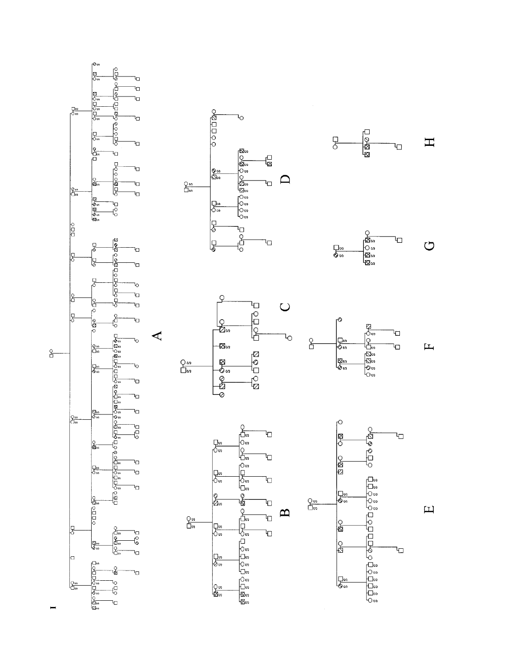

ន្ទី ១ នី <mark>។</mark><br>និ និ និ នី b  $\circ$ 

Ⴠ

网络区门



oda sdo

<u>s s s s o o o o o o o o o o o o o o o</u>

Ⴆ

切



 $\mathbf H$ 

 $\boxed{\underline{\mathbf{L}}}$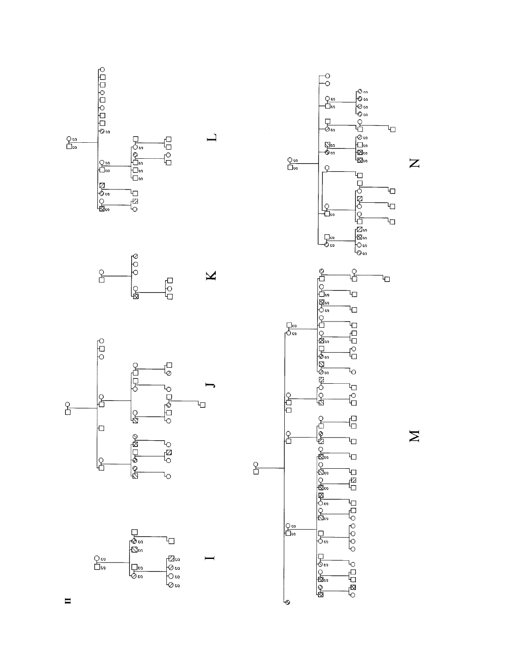

⊛

 $\blacksquare$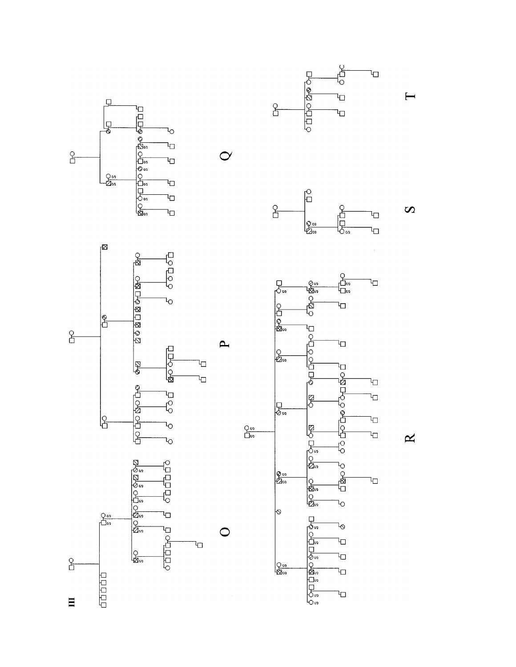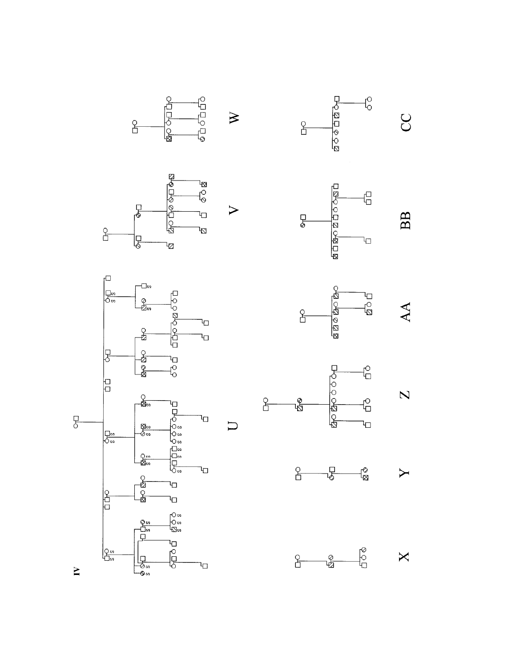







**CC** 

**BB** 











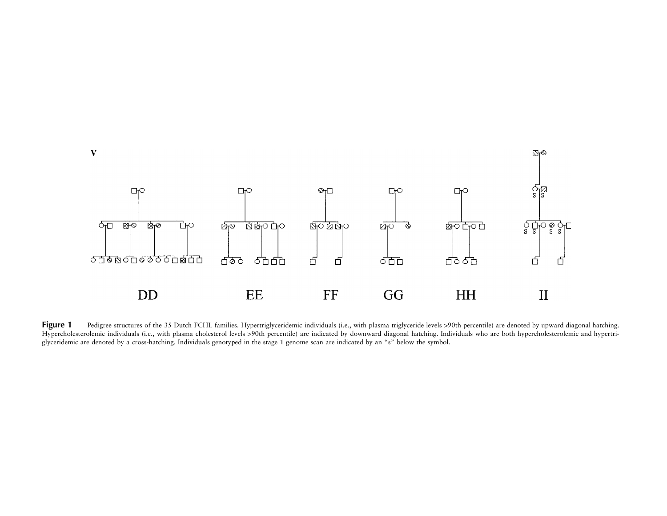

**Figure 1** Pedigree structures of the 35 Dutch FCHL families. Hypertriglyceridemic individuals (i.e., with plasma triglyceride levels >90th percentile) are denoted by upward diagonal hatching. Hypercholesterolemic individuals (i.e., with <sup>p</sup>lasma cholesterol levels <sup>1</sup>90th percentile) are indicated by downward diagonal hatching. Individuals who are both hypercholesterolemic and hypertri<sup>g</sup>lyceridemic are denoted by <sup>a</sup> cross-hatching. Individuals genotyped in the stage 1 genome scan are indicated by an "s" below the symbol.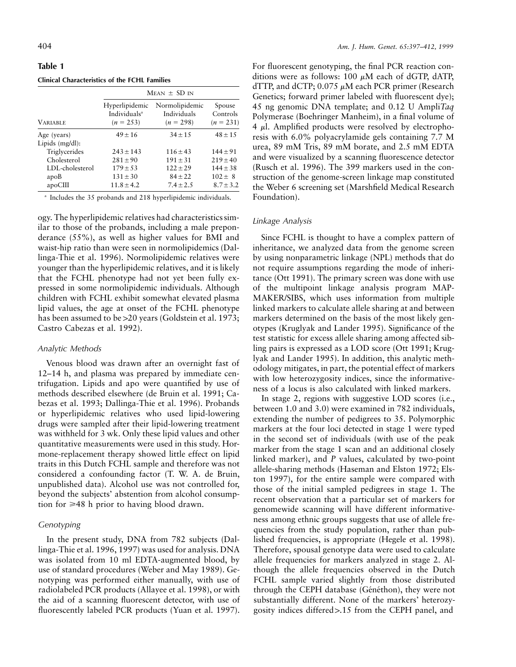| Table 1 |                                                      |  |
|---------|------------------------------------------------------|--|
|         | <b>Clinical Characteristics of the FCHL Families</b> |  |

|                 | $Mean \pm SD IN$                                          |                                              |                                   |  |  |  |
|-----------------|-----------------------------------------------------------|----------------------------------------------|-----------------------------------|--|--|--|
| <b>VARIABLE</b> | Hyperlipidemic<br>Individuals <sup>a</sup><br>$(n = 253)$ | Normolipidemic<br>Individuals<br>$(n = 298)$ | Spouse<br>Controls<br>$(n = 231)$ |  |  |  |
| Age (years)     | $49 + 16$                                                 | $34 + 15$                                    | $48 + 15$                         |  |  |  |
| Lipids (mg/dl): |                                                           |                                              |                                   |  |  |  |
| Triglycerides   | $243 \pm 143$                                             | $116 + 43$                                   | $144 + 91$                        |  |  |  |
| Cholesterol     | $281 \pm 90$                                              | $191 + 31$                                   | $219 \pm 40$                      |  |  |  |
| LDL-cholesterol | $179 \pm 53$                                              | $122 + 29$                                   | $144 \pm 38$                      |  |  |  |
| apoB            | $131 \pm 30$                                              | $84 + 22$                                    | $102 + 8$                         |  |  |  |
| apoCIII         | $11.8 + 4.2$                                              | $7.4 \pm 2.5$                                | $8.7 \pm 3.2$                     |  |  |  |

<sup>a</sup> Includes the 35 probands and 218 hyperlipidemic individuals.

ogy. The hyperlipidemic relatives had characteristics similar to those of the probands, including a male preponderance (55%), as well as higher values for BMI and waist-hip ratio than were seen in normolipidemics (Dallinga-Thie et al. 1996). Normolipidemic relatives were younger than the hyperlipidemic relatives, and it is likely that the FCHL phenotype had not yet been fully expressed in some normolipidemic individuals. Although children with FCHL exhibit somewhat elevated plasma lipid values, the age at onset of the FCHL phenotype has been assumed to be > 20 years (Goldstein et al. 1973; Castro Cabezas et al. 1992).

#### *Analytic Methods*

Venous blood was drawn after an overnight fast of 12–14 h, and plasma was prepared by immediate centrifugation. Lipids and apo were quantified by use of methods described elsewhere (de Bruin et al. 1991; Cabezas et al. 1993; Dallinga-Thie et al. 1996). Probands or hyperlipidemic relatives who used lipid-lowering drugs were sampled after their lipid-lowering treatment was withheld for 3 wk. Only these lipid values and other quantitative measurements were used in this study. Hormone-replacement therapy showed little effect on lipid traits in this Dutch FCHL sample and therefore was not considered a confounding factor (T. W. A. de Bruin, unpublished data). Alcohol use was not controlled for, beyond the subjects' abstention from alcohol consumption for  $\geq 48$  h prior to having blood drawn.

#### *Genotyping*

In the present study, DNA from 782 subjects (Dallinga-Thie et al. 1996, 1997) was used for analysis. DNA was isolated from 10 ml EDTA-augmented blood, by use of standard procedures (Weber and May 1989). Genotyping was performed either manually, with use of radiolabeled PCR products (Allayee et al. 1998), or with the aid of a scanning fluorescent detector, with use of fluorescently labeled PCR products (Yuan et al. 1997).

For fluorescent genotyping, the final PCR reaction conditions were as follows: 100  $\mu$ M each of dGTP, dATP, dTTP, and dCTP;  $0.075 \mu M$  each PCR primer (Research Genetics; forward primer labeled with fluorescent dye); 45 ng genomic DNA template; and 0.12 U Ampli*Taq* Polymerase (Boehringer Manheim), in a final volume of  $4 \mu$ l. Amplified products were resolved by electrophoresis with 6.0% polyacrylamide gels containing 7.7 M urea, 89 mM Tris, 89 mM borate, and 2.5 mM EDTA and were visualized by a scanning fluorescence detector (Rusch et al. 1996). The 399 markers used in the construction of the genome-screen linkage map constituted the Weber 6 screening set (Marshfield Medical Research Foundation).

#### *Linkage Analysis*

Since FCHL is thought to have a complex pattern of inheritance, we analyzed data from the genome screen by using nonparametric linkage (NPL) methods that do not require assumptions regarding the mode of inheritance (Ott 1991). The primary screen was done with use of the multipoint linkage analysis program MAP-MAKER/SIBS, which uses information from multiple linked markers to calculate allele sharing at and between markers determined on the basis of the most likely genotypes (Kruglyak and Lander 1995). Significance of the test statistic for excess allele sharing among affected sibling pairs is expressed as a LOD score (Ott 1991; Kruglyak and Lander 1995). In addition, this analytic methodology mitigates, in part, the potential effect of markers with low heterozygosity indices, since the informativeness of a locus is also calculated with linked markers.

In stage 2, regions with suggestive LOD scores (i.e., between 1.0 and 3.0) were examined in 782 individuals, extending the number of pedigrees to 35. Polymorphic markers at the four loci detected in stage 1 were typed in the second set of individuals (with use of the peak marker from the stage 1 scan and an additional closely linked marker), and *P* values, calculated by two-point allele-sharing methods (Haseman and Elston 1972; Elston 1997), for the entire sample were compared with those of the initial sampled pedigrees in stage 1. The recent observation that a particular set of markers for genomewide scanning will have different informativeness among ethnic groups suggests that use of allele frequencies from the study population, rather than published frequencies, is appropriate (Hegele et al. 1998). Therefore, spousal genotype data were used to calculate allele frequencies for markers analyzed in stage 2. Although the allele frequencies observed in the Dutch FCHL sample varied slightly from those distributed through the CEPH database (Généthon), they were not substantially different. None of the markers' heterozygosity indices differed>.15 from the CEPH panel, and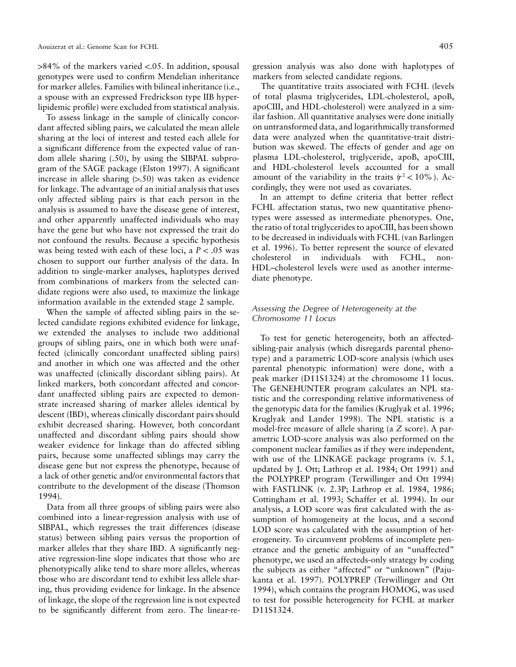$>84\%$  of the markers varied <.05. In addition, spousal genotypes were used to confirm Mendelian inheritance for marker alleles. Families with bilineal inheritance (i.e., a spouse with an expressed Fredrickson type IIB hyperlipidemic profile) were excluded from statistical analysis.

To assess linkage in the sample of clinically concordant affected sibling pairs, we calculated the mean allele sharing at the loci of interest and tested each allele for a significant difference from the expected value of random allele sharing (.50), by using the SIBPAL subprogram of the SAGE package (Elston 1997). A significant increase in allele sharing  $(> 0.50)$  was taken as evidence for linkage. The advantage of an initial analysis that uses only affected sibling pairs is that each person in the analysis is assumed to have the disease gene of interest, and other apparently unaffected individuals who may have the gene but who have not expressed the trait do not confound the results. Because a specific hypothesis was being tested with each of these loci, a  $P < .05$  was chosen to support our further analysis of the data. In addition to single-marker analyses, haplotypes derived from combinations of markers from the selected candidate regions were also used, to maximize the linkage information available in the extended stage 2 sample.

When the sample of affected sibling pairs in the selected candidate regions exhibited evidence for linkage, we extended the analyses to include two additional groups of sibling pairs, one in which both were unaffected (clinically concordant unaffected sibling pairs) and another in which one was affected and the other was unaffected (clinically discordant sibling pairs). At linked markers, both concordant affected and concordant unaffected sibling pairs are expected to demonstrate increased sharing of marker alleles identical by descent (IBD), whereas clinically discordant pairs should exhibit decreased sharing. However, both concordant unaffected and discordant sibling pairs should show weaker evidence for linkage than do affected sibling pairs, because some unaffected siblings may carry the disease gene but not express the phenotype, because of a lack of other genetic and/or environmental factors that contribute to the development of the disease (Thomson 1994).

Data from all three groups of sibling pairs were also combined into a linear-regression analysis with use of SIBPAL, which regresses the trait differences (disease status) between sibling pairs versus the proportion of marker alleles that they share IBD. A significantly negative regression-line slope indicates that those who are phenotypically alike tend to share more alleles, whereas those who are discordant tend to exhibit less allele sharing, thus providing evidence for linkage. In the absence of linkage, the slope of the regression line is not expected to be significantly different from zero. The linear-regression analysis was also done with haplotypes of markers from selected candidate regions.

The quantitative traits associated with FCHL (levels of total plasma triglycerides, LDL-cholesterol, apoB, apoCIII, and HDL-cholesterol) were analyzed in a similar fashion. All quantitative analyses were done initially on untransformed data, and logarithmically transformed data were analyzed when the quantitative-trait distribution was skewed. The effects of gender and age on plasma LDL-cholesterol, triglyceride, apoB, apoCIII, and HDL-cholesterol levels accounted for a small amount of the variability in the traits  $\langle r^2 \rangle < 10\%$ ). Accordingly, they were not used as covariates.

In an attempt to define criteria that better reflect FCHL affectation status, two new quantitative phenotypes were assessed as intermediate phenotypes. One, the ratio of total triglycerides to apoCIII, has been shown to be decreased in individuals with FCHL (van Barlingen et al. 1996). To better represent the source of elevated cholesterol in individuals with FCHL, non-HDL–cholesterol levels were used as another intermediate phenotype.

## *Assessing the Degree of Heterogeneity at the Chromosome 11 Locus*

To test for genetic heterogeneity, both an affectedsibling-pair analysis (which disregards parental phenotype) and a parametric LOD-score analysis (which uses parental phenotypic information) were done, with a peak marker (D11S1324) at the chromosome 11 locus. The GENEHUNTER program calculates an NPL statistic and the corresponding relative informativeness of the genotypic data for the families (Kruglyak et al. 1996; Kruglyak and Lander 1998). The NPL statistic is a model-free measure of allele sharing (a *Z* score). A parametric LOD-score analysis was also performed on the component nuclear families as if they were independent, with use of the LINKAGE package programs (v. 5.1, updated by J. Ott; Lathrop et al. 1984; Ott 1991) and the POLYPREP program (Terwillinger and Ott 1994) with FASTLINK (v. 2.3P; Lathrop et al. 1984, 1986; Cottingham et al. 1993; Schaffer et al. 1994). In our analysis, a LOD score was first calculated with the assumption of homogeneity at the locus, and a second LOD score was calculated with the assumption of heterogeneity. To circumvent problems of incomplete penetrance and the genetic ambiguity of an "unaffected" phenotype, we used an affecteds-only strategy by coding the subjects as either "affected" or "unknown" (Pajukanta et al. 1997). POLYPREP (Terwillinger and Ott 1994), which contains the program HOMOG, was used to test for possible heterogeneity for FCHL at marker D11S1324.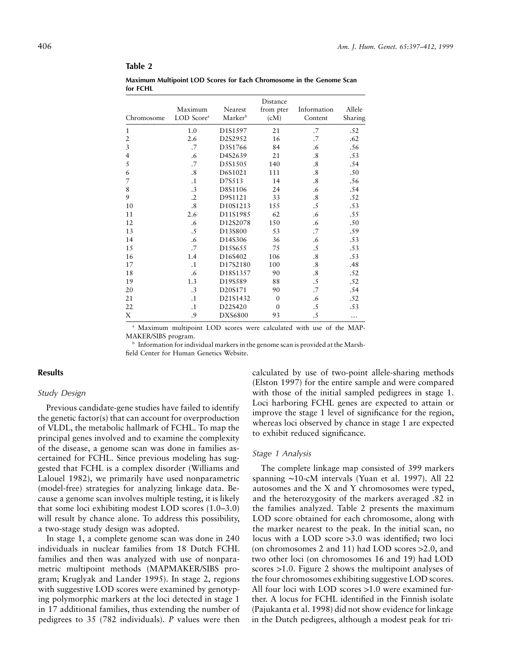#### **Table 2**

| Chromosome              | Maximum<br>LOD Score <sup>a</sup> | Nearest<br>Markerb                | Distance<br>from pter<br>(cM) | Information<br>Content | Allele<br>Sharing |
|-------------------------|-----------------------------------|-----------------------------------|-------------------------------|------------------------|-------------------|
| 1                       | 1.0                               | D1S1597                           | 21                            | .7                     | .52               |
| $\overline{\mathbf{c}}$ | 2.6                               | D2S2952                           | 16                            | .7                     | .62               |
| 3                       | .7                                | D3S1766                           | 84                            | .6                     | .56               |
| 4                       | .6                                | D4S2639                           | 21                            | $\cdot$ <sup>8</sup>   | .53               |
| 5                       | .7                                | D5S1505                           | 140                           | $\cdot$ <sup>8</sup>   | .54               |
| 6                       | .8                                | D6S1021                           | 111                           | $\cdot$ <sup>8</sup>   | .50               |
| 7                       | $\cdot$ 1                         | D7S513                            | 14                            | $\cdot$ <sup>8</sup>   | .56               |
| 8                       | $\cdot$ 3                         | D8S1106                           | 24                            | .6                     | .54               |
| 9                       | $\cdot$ .2                        | D9S1121                           | 33                            | $\cdot^8$              | .52               |
| 10                      | $\cdot$ <sup>8</sup>              | D <sub>10</sub> S <sub>1213</sub> | 155                           | .5                     | .53               |
| 11                      | 2.6                               | D11S1985                          | 62                            | .6                     | .55               |
| 12                      | .6                                | D12S2078                          | 150                           | .6                     | .50               |
| 13                      | .5                                | D13S800                           | 53                            | .7                     | .59               |
| 14                      | .6                                | D14S306                           | 36                            | .6                     | .53               |
| 15                      | .7                                | D15S655                           | 75                            | .5                     | .53               |
| 16                      | 1.4                               | D16S402                           | 106                           | $\cdot$ <sup>8</sup> . | .53               |
| 17                      | $\cdot$ 1                         | D17S2180                          | 100                           | $\cdot$ <sup>8</sup>   | .48               |
| 18                      | .6                                | D18S1357                          | 90                            | $\boldsymbol{\cdot}8$  | .52               |
| 19                      | 1.3                               | D19S589                           | 88                            | .5                     | .52               |
| 20                      | $\cdot$ 3                         | D20S171                           | 90                            | .7                     | .54               |
| 21                      | $\cdot$ 1                         | D21S1432                          | $\Omega$                      | .6                     | .52               |
| 22                      | $\cdot$ 1                         | D22S420                           | $\Omega$                      | .5                     | .53               |
| Х                       | .9                                | DXS6800                           | 93                            | .5                     |                   |

**Maximum Multipoint LOD Scores for Each Chromosome in the Genome Scan for FCHL**

Maximum multipoint LOD scores were calculated with use of the MAP-MAKER/SIBS program.

<sup>b</sup> Information for individual markers in the genome scan is provided at the Marshfield Center for Human Genetics Website.

#### **Results**

#### *Study Design*

Previous candidate-gene studies have failed to identify the genetic factor(s) that can account for overproduction of VLDL, the metabolic hallmark of FCHL. To map the principal genes involved and to examine the complexity of the disease, a genome scan was done in families ascertained for FCHL. Since previous modeling has suggested that FCHL is a complex disorder (Williams and Lalouel 1982), we primarily have used nonparametric (model-free) strategies for analyzing linkage data. Because a genome scan involves multiple testing, it is likely that some loci exhibiting modest LOD scores (1.0–3.0) will result by chance alone. To address this possibility, a two-stage study design was adopted.

In stage 1, a complete genome scan was done in 240 individuals in nuclear families from 18 Dutch FCHL families and then was analyzed with use of nonparametric multipoint methods (MAPMAKER/SIBS program; Kruglyak and Lander 1995). In stage 2, regions with suggestive LOD scores were examined by genotyping polymorphic markers at the loci detected in stage 1 in 17 additional families, thus extending the number of pedigrees to 35 (782 individuals). *P* values were then calculated by use of two-point allele-sharing methods (Elston 1997) for the entire sample and were compared with those of the initial sampled pedigrees in stage 1. Loci harboring FCHL genes are expected to attain or improve the stage 1 level of significance for the region, whereas loci observed by chance in stage 1 are expected to exhibit reduced significance.

#### *Stage 1 Analysis*

The complete linkage map consisted of 399 markers spanning ∼10-cM intervals (Yuan et al. 1997). All 22 autosomes and the X and Y chromosomes were typed, and the heterozygosity of the markers averaged .82 in the families analyzed. Table 2 presents the maximum LOD score obtained for each chromosome, along with the marker nearest to the peak. In the initial scan, no locus with a LOD score  $>3.0$  was identified; two loci (on chromosomes 2 and 11) had LOD scores  $\geq 2.0$ , and two other loci (on chromosomes 16 and 19) had LOD scores  $>1.0$ . Figure 2 shows the multipoint analyses of the four chromosomes exhibiting suggestive LOD scores. All four loci with LOD scores  $>1.0$  were examined further. A locus for FCHL identified in the Finnish isolate (Pajukanta et al. 1998) did not show evidence for linkage in the Dutch pedigrees, although a modest peak for tri-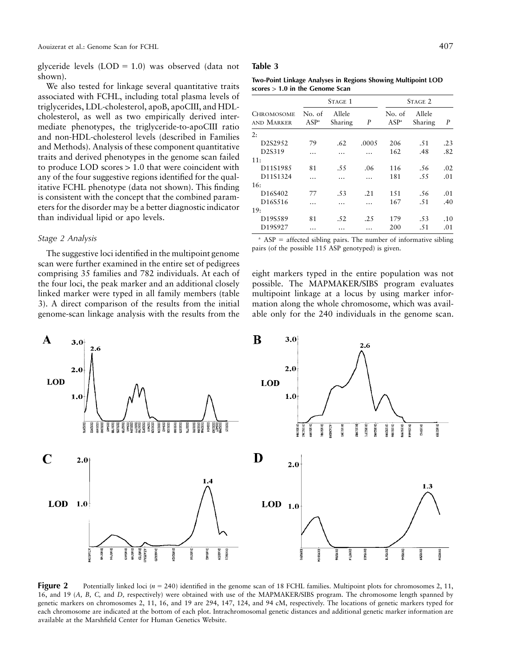glyceride levels  $(LOD = 1.0)$  was observed (data not shown).

We also tested for linkage several quantitative traits associated with FCHL, including total plasma levels of triglycerides, LDL-cholesterol, apoB, apoCIII, and HDLcholesterol, as well as two empirically derived intermediate phenotypes, the triglyceride-to-apoCIII ratio and non-HDL-cholesterol levels (described in Families and Methods). Analysis of these component quantitative traits and derived phenotypes in the genome scan failed to produce LOD scores  $> 1.0$  that were coincident with any of the four suggestive regions identified for the qualitative FCHL phenotype (data not shown). This finding is consistent with the concept that the combined parameters for the disorder may be a better diagnostic indicator than individual lipid or apo levels.

#### *Stage 2 Analysis*

The suggestive loci identified in the multipoint genome scan were further examined in the entire set of pedigrees comprising 35 families and 782 individuals. At each of the four loci, the peak marker and an additional closely linked marker were typed in all family members (table 3). A direct comparison of the results from the initial genome-scan linkage analysis with the results from the

#### **Table 3**

**Two-Point Linkage Analyses in Regions Showing Multipoint LOD**  $scores > 1.0$  in the Genome Scan

|                                  |                            | STAGE 1           |        | STAGE 2                    |                   |     |  |
|----------------------------------|----------------------------|-------------------|--------|----------------------------|-------------------|-----|--|
| <b>CHROMOSOME</b><br>AND MARKER  | No. of<br>ASP <sup>a</sup> | Allele<br>Sharing | P      | No. of<br>ASP <sup>a</sup> | Allele<br>Sharing | P   |  |
| 2:                               |                            |                   |        |                            |                   |     |  |
| D <sub>2</sub> S <sub>2952</sub> | 79                         | .62               | .000.5 | 206                        | .51               | .23 |  |
| D <sub>2</sub> S <sub>3</sub> 19 | .                          | .                 |        | 162                        | .48               | .82 |  |
| 11:                              |                            |                   |        |                            |                   |     |  |
| D11S1985                         | 81                         | .55               | .06    | 116                        | .56               | .02 |  |
| D11S1324                         |                            |                   | .      | 181                        | .55               | .01 |  |
| 16:                              |                            |                   |        |                            |                   |     |  |
| D16S402                          | 77                         | .53               | .21    | 151                        | .56               | .01 |  |
| D <sub>16</sub> S <sub>516</sub> | .                          |                   | .      | 167                        | .51               | .40 |  |
| 19:                              |                            |                   |        |                            |                   |     |  |
| D19S589                          | 81                         | .52               | .25    | 179                        | .53               | .10 |  |
| D19S927                          |                            |                   |        | 200                        | .51               | .01 |  |
|                                  |                            |                   |        |                            |                   |     |  |

 $A$  ASP = affected sibling pairs. The number of informative sibling pairs (of the possible 115 ASP genotyped) is given.

eight markers typed in the entire population was not possible. The MAPMAKER/SIBS program evaluates multipoint linkage at a locus by using marker information along the whole chromosome, which was available only for the 240 individuals in the genome scan.



**Figure 2** Potentially linked loci  $(n = 240)$  identified in the genome scan of 18 FCHL families. Multipoint plots for chromosomes 2, 11, 16, and 19 (*A, B, C,* and *D,* respectively) were obtained with use of the MAPMAKER/SIBS program. The chromosome length spanned by genetic markers on chromosomes 2, 11, 16, and 19 are 294, 147, 124, and 94 cM, respectively. The locations of genetic markers typed for each chromosome are indicated at the bottom of each plot. Intrachromosomal genetic distances and additional genetic marker information are available at the Marshfield Center for Human Genetics Website.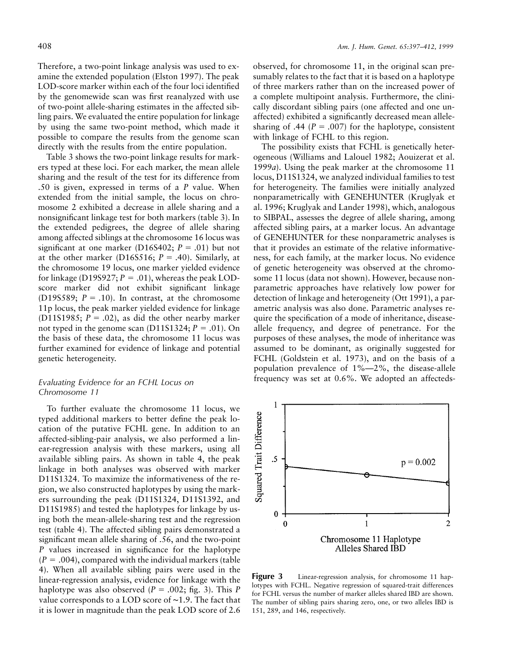Therefore, a two-point linkage analysis was used to examine the extended population (Elston 1997). The peak LOD-score marker within each of the four loci identified by the genomewide scan was first reanalyzed with use of two-point allele-sharing estimates in the affected sibling pairs. We evaluated the entire population for linkage by using the same two-point method, which made it possible to compare the results from the genome scan directly with the results from the entire population.

Table 3 shows the two-point linkage results for markers typed at these loci. For each marker, the mean allele sharing and the result of the test for its difference from .50 is given, expressed in terms of a *P* value. When extended from the initial sample, the locus on chromosome 2 exhibited a decrease in allele sharing and a nonsignificant linkage test for both markers (table 3). In the extended pedigrees, the degree of allele sharing among affected siblings at the chromosome 16 locus was significant at one marker (D16S402;  $P = .01$ ) but not at the other marker (D16S516;  $P = .40$ ). Similarly, at the chromosome 19 locus, one marker yielded evidence for linkage (D19S927;  $P = .01$ ), whereas the peak LODscore marker did not exhibit significant linkage (D19S589;  $P = .10$ ). In contrast, at the chromosome 11p locus, the peak marker yielded evidence for linkage (D11S1985;  $P = .02$ ), as did the other nearby marker not typed in the genome scan (D11S1324;  $P = .01$ ). On the basis of these data, the chromosome 11 locus was further examined for evidence of linkage and potential genetic heterogeneity.

## *Evaluating Evidence for an FCHL Locus on Chromosome 11*

To further evaluate the chromosome 11 locus, we typed additional markers to better define the peak location of the putative FCHL gene. In addition to an affected-sibling-pair analysis, we also performed a linear-regression analysis with these markers, using all available sibling pairs. As shown in table 4, the peak linkage in both analyses was observed with marker D11S1324. To maximize the informativeness of the region, we also constructed haplotypes by using the markers surrounding the peak (D11S1324, D11S1392, and D11S1985) and tested the haplotypes for linkage by using both the mean-allele-sharing test and the regression test (table 4). The affected sibling pairs demonstrated a significant mean allele sharing of .56, and the two-point *P* values increased in significance for the haplotype  $(P = .004)$ , compared with the individual markers (table 4). When all available sibling pairs were used in the linear-regression analysis, evidence for linkage with the haplotype was also observed  $(P = .002;$  fig. 3). This *P* value corresponds to a LOD score of ∼1.9. The fact that it is lower in magnitude than the peak LOD score of 2.6 observed, for chromosome 11, in the original scan presumably relates to the fact that it is based on a haplotype of three markers rather than on the increased power of a complete multipoint analysis. Furthermore, the clinically discordant sibling pairs (one affected and one unaffected) exhibited a significantly decreased mean allelesharing of .44 ( $P = .007$ ) for the haplotype, consistent with linkage of FCHL to this region.

The possibility exists that FCHL is genetically heterogeneous (Williams and Lalouel 1982; Aouizerat et al. 1999*a*). Using the peak marker at the chromosome 11 locus, D11S1324, we analyzed individual families to test for heterogeneity. The families were initially analyzed nonparametrically with GENEHUNTER (Kruglyak et al. 1996; Kruglyak and Lander 1998), which, analogous to SIBPAL, assesses the degree of allele sharing, among affected sibling pairs, at a marker locus. An advantage of GENEHUNTER for these nonparametric analyses is that it provides an estimate of the relative informativeness, for each family, at the marker locus. No evidence of genetic heterogeneity was observed at the chromosome 11 locus (data not shown). However, because nonparametric approaches have relatively low power for detection of linkage and heterogeneity (Ott 1991), a parametric analysis was also done. Parametric analyses require the specification of a mode of inheritance, diseaseallele frequency, and degree of penetrance. For the purposes of these analyses, the mode of inheritance was assumed to be dominant, as originally suggested for FCHL (Goldstein et al. 1973), and on the basis of a population prevalence of 1%—2%, the disease-allele frequency was set at 0.6%. We adopted an affecteds-



**Figure 3** Linear-regression analysis, for chromosome 11 haplotypes with FCHL. Negative regression of squared-trait differences for FCHL versus the number of marker alleles shared IBD are shown. The number of sibling pairs sharing zero, one, or two alleles IBD is 151, 289, and 146, respectively.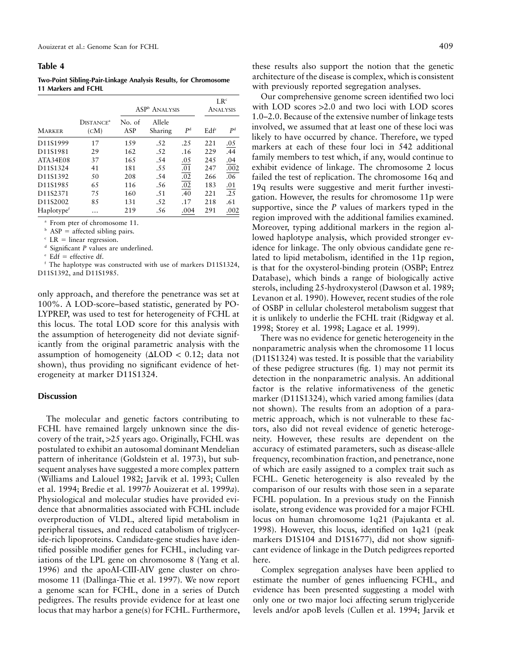#### **Table 4**

**Two-Point Sibling-Pair-Linkage Analysis Results, for Chromosome 11 Markers and FCHL**

| <b>MARKER</b>          |                                     | ASP <sup>b</sup> ANALYSIS | $LR^c$<br>ANALYSIS |                  |                  |                   |
|------------------------|-------------------------------------|---------------------------|--------------------|------------------|------------------|-------------------|
|                        | <b>DISTANCE<sup>a</sup></b><br>(CM) | No. of<br>ASP             | Allele<br>Sharing  | P <sup>d</sup>   | Edf <sup>e</sup> | P <sup>d</sup>    |
| D11S1999               | 17                                  | 1.59                      | .52                | .25              | 221              | $\frac{.05}{.44}$ |
| D11S1981               | 29                                  | 162                       | .52                | .16              | 229              |                   |
| ATA34E08               | 37                                  | 165                       | .54                | .05              | 245              | .04               |
| D11S1324               | 41                                  | 181                       | .55                | $\overline{.01}$ | 247              | .002              |
| D11S1392               | 50                                  | 208                       | .54                | $\overline{.02}$ | 266              | .06               |
| D11S1985               | 65                                  | 116                       | .56                | .02              | 183              | .01               |
| D11S2371               | 75                                  | 160                       | .51                | .40              | 221              | $\overline{.25}$  |
| D11S2002               | 85                                  | 131                       | .52                | .17              | 218              | .61               |
| Haplotype <sup>t</sup> |                                     | 219                       | .56                | .004             | 291              | .002              |

<sup>a</sup> From pter of chromosome 11.

 $<sup>b</sup>$  ASP = affected sibling pairs.</sup>

 $CLR$  = linear regression.

<sup>d</sup> Significant *P* values are underlined.

 $e$  Edf = effective df.

 $f$  The haplotype was constructed with use of markers D11S1324, D11S1392, and D11S1985.

only approach, and therefore the penetrance was set at 100%. A LOD-score–based statistic, generated by PO-LYPREP, was used to test for heterogeneity of FCHL at this locus. The total LOD score for this analysis with the assumption of heterogeneity did not deviate significantly from the original parametric analysis with the assumption of homogeneity  $(\Delta\text{LOD} < 0.12$ ; data not shown), thus providing no significant evidence of heterogeneity at marker D11S1324.

#### **Discussion**

The molecular and genetic factors contributing to FCHL have remained largely unknown since the discovery of the trait,  $>25$  years ago. Originally, FCHL was postulated to exhibit an autosomal dominant Mendelian pattern of inheritance (Goldstein et al. 1973), but subsequent analyses have suggested a more complex pattern (Williams and Lalouel 1982; Jarvik et al. 1993; Cullen et al. 1994; Bredie et al. 1997*b* Aouizerat et al. 1999*a*). Physiological and molecular studies have provided evidence that abnormalities associated with FCHL include overproduction of VLDL, altered lipid metabolism in peripheral tissues, and reduced catabolism of triglyceride-rich lipoproteins. Candidate-gene studies have identified possible modifier genes for FCHL, including variations of the LPL gene on chromosome 8 (Yang et al. 1996) and the apoAI-CIII-AIV gene cluster on chromosome 11 (Dallinga-Thie et al. 1997). We now report a genome scan for FCHL, done in a series of Dutch pedigrees. The results provide evidence for at least one locus that may harbor a gene(s) for FCHL. Furthermore, these results also support the notion that the genetic architecture of the disease is complex, which is consistent with previously reported segregation analyses.

Our comprehensive genome screen identified two loci with LOD scores  $>2.0$  and two loci with LOD scores 1.0–2.0. Because of the extensive number of linkage tests involved, we assumed that at least one of these loci was likely to have occurred by chance. Therefore, we typed markers at each of these four loci in 542 additional family members to test which, if any, would continue to exhibit evidence of linkage. The chromosome 2 locus failed the test of replication. The chromosome 16q and 19q results were suggestive and merit further investigation. However, the results for chromosome 11p were supportive, since the *P* values of markers typed in the region improved with the additional families examined. Moreover, typing additional markers in the region allowed haplotype analysis, which provided stronger evidence for linkage. The only obvious candidate gene related to lipid metabolism, identified in the 11p region, is that for the oxysterol-binding protein (OSBP; Entrez Database), which binds a range of biologically active sterols, including 25-hydroxysterol (Dawson et al. 1989; Levanon et al. 1990). However, recent studies of the role of OSBP in cellular cholesterol metabolism suggest that it is unlikely to underlie the FCHL trait (Ridgway et al. 1998; Storey et al. 1998; Lagace et al. 1999).

There was no evidence for genetic heterogeneity in the nonparametric analysis when the chromosome 11 locus (D11S1324) was tested. It is possible that the variability of these pedigree structures (fig. 1) may not permit its detection in the nonparametric analysis. An additional factor is the relative informativeness of the genetic marker (D11S1324), which varied among families (data not shown). The results from an adoption of a parametric approach, which is not vulnerable to these factors, also did not reveal evidence of genetic heterogeneity. However, these results are dependent on the accuracy of estimated parameters, such as disease-allele frequency, recombination fraction, and penetrance, none of which are easily assigned to a complex trait such as FCHL. Genetic heterogeneity is also revealed by the comparison of our results with those seen in a separate FCHL population. In a previous study on the Finnish isolate, strong evidence was provided for a major FCHL locus on human chromosome 1q21 (Pajukanta et al. 1998). However, this locus, identified on 1q21 (peak markers D1S104 and D1S1677), did not show significant evidence of linkage in the Dutch pedigrees reported here.

Complex segregation analyses have been applied to estimate the number of genes influencing FCHL, and evidence has been presented suggesting a model with only one or two major loci affecting serum triglyceride levels and/or apoB levels (Cullen et al. 1994; Jarvik et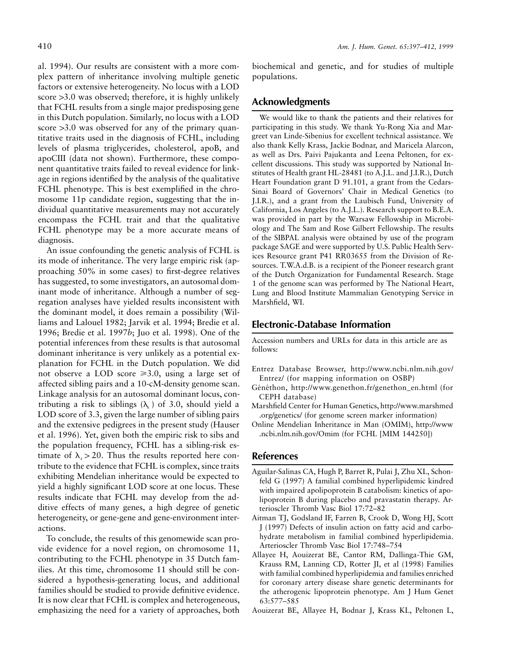al. 1994). Our results are consistent with a more complex pattern of inheritance involving multiple genetic factors or extensive heterogeneity. No locus with a LOD score  $>3.0$  was observed; therefore, it is highly unlikely that FCHL results from a single major predisposing gene in this Dutch population. Similarly, no locus with a LOD score  $>3.0$  was observed for any of the primary quantitative traits used in the diagnosis of FCHL, including levels of plasma triglycerides, cholesterol, apoB, and apoCIII (data not shown). Furthermore, these component quantitative traits failed to reveal evidence for linkage in regions identified by the analysis of the qualitative FCHL phenotype. This is best exemplified in the chromosome 11p candidate region, suggesting that the individual quantitative measurements may not accurately encompass the FCHL trait and that the qualitative FCHL phenotype may be a more accurate means of diagnosis.

An issue confounding the genetic analysis of FCHL is its mode of inheritance. The very large empiric risk (approaching 50% in some cases) to first-degree relatives has suggested, to some investigators, an autosomal dominant mode of inheritance. Although a number of segregation analyses have yielded results inconsistent with the dominant model, it does remain a possibility (Williams and Lalouel 1982; Jarvik et al. 1994; Bredie et al. 1996; Bredie et al. 1997*b*; Juo et al. 1998). One of the potential inferences from these results is that autosomal dominant inheritance is very unlikely as a potential explanation for FCHL in the Dutch population. We did not observe a LOD score  $\geq 3.0$ , using a large set of affected sibling pairs and a 10-cM-density genome scan. Linkage analysis for an autosomal dominant locus, contributing a risk to siblings  $(\lambda)$  of 3.0, should yield a LOD score of 3.3, given the large number of sibling pairs and the extensive pedigrees in the present study (Hauser et al. 1996). Yet, given both the empiric risk to sibs and the population frequency, FCHL has a sibling-risk estimate of  $\lambda > 20$ . Thus the results reported here contribute to the evidence that FCHL is complex, since traits exhibiting Mendelian inheritance would be expected to yield a highly significant LOD score at one locus. These results indicate that FCHL may develop from the additive effects of many genes, a high degree of genetic heterogeneity, or gene-gene and gene-environment interactions.

To conclude, the results of this genomewide scan provide evidence for a novel region, on chromosome 11, contributing to the FCHL phenotype in 35 Dutch families. At this time, chromosome 11 should still be considered a hypothesis-generating locus, and additional families should be studied to provide definitive evidence. It is now clear that FCHL is complex and heterogeneous, emphasizing the need for a variety of approaches, both

biochemical and genetic, and for studies of multiple populations.

# **Acknowledgments**

We would like to thank the patients and their relatives for participating in this study. We thank Yu-Rong Xia and Margreet van Linde-Sibenius for excellent technical assistance. We also thank Kelly Krass, Jackie Bodnar, and Maricela Alarcon, as well as Drs. Paivi Pajukanta and Leena Peltonen, for excellent discussions. This study was supported by National Institutes of Health grant HL-28481 (to A.J.L. and J.I.R.), Dutch Heart Foundation grant D 91.101, a grant from the Cedars-Sinai Board of Governors' Chair in Medical Genetics (to J.I.R.), and a grant from the Laubisch Fund, University of California, Los Angeles (to A.J.L.). Research support to B.E.A. was provided in part by the Warsaw Fellowship in Microbiology and The Sam and Rose Gilbert Fellowship. The results of the SIBPAL analysis were obtained by use of the program package SAGE and were supported by U.S. Public Health Services Resource grant P41 RR03655 from the Division of Resources. T.W.A.d.B. is a recipient of the Pioneer research grant of the Dutch Organization for Fundamental Research. Stage 1 of the genome scan was performed by The National Heart, Lung and Blood Institute Mammalian Genotyping Service in Marshfield, WI.

# **Electronic-Database Information**

Accession numbers and URLs for data in this article are as follows:

- Entrez Database Browser, http://www.ncbi.nlm.nih.gov/ Entrez/ (for mapping information on OSBP)
- Généthon, http://www.genethon.fr/genethon\_en.html (for CEPH database)
- Marshfield Center for Human Genetics, http://www.marshmed .org/genetics/ (for genome screen marker information)
- Online Mendelian Inheritance in Man (OMIM), http://www .ncbi.nlm.nih.gov/Omim (for FCHL [MIM 144250])

# **References**

- Aguilar-Salinas CA, Hugh P, Barret R, Pulai J, Zhu XL, Schonfeld G (1997) A familial combined hyperlipidemic kindred with impaired apolipoprotein B catabolism: kinetics of apolipoprotein B during placebo and pravastatin therapy. Arterioscler Thromb Vasc Biol 17:72–82
- Aitman TJ, Godsland IF, Farren B, Crook D, Wong HJ, Scott J (1997) Defects of insulin action on fatty acid and carbohydrate metabolism in familial combined hyperlipidemia. Arterioscler Thromb Vasc Biol 17:748–754
- Allayee H, Aouizerat BE, Cantor RM, Dallinga-Thie GM, Krauss RM, Lanning CD, Rotter JI, et al (1998) Families with familial combined hyperlipidemia and families enriched for coronary artery disease share genetic determinants for the atherogenic lipoprotein phenotype. Am J Hum Genet 63:577–585
- Aouizerat BE, Allayee H, Bodnar J, Krass KL, Peltonen L,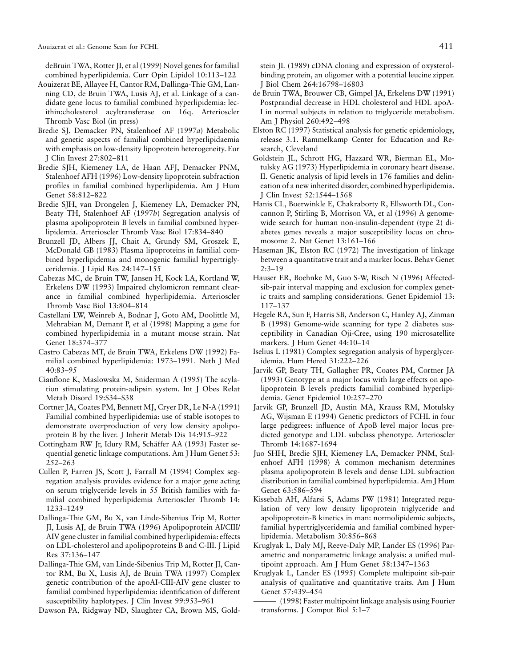deBruin TWA, Rotter JI, et al (1999) Novel genes for familial combined hyperlipidemia. Curr Opin Lipidol 10:113–122

- Aouizerat BE, Allayee H, Cantor RM, Dallinga-Thie GM, Lanning CD, de Bruin TWA, Lusis AJ, et al. Linkage of a candidate gene locus to familial combined hyperlipidemia: lecithin:cholesterol acyltransferase on 16q. Arterioscler Thromb Vasc Biol (in press)
- Bredie SJ, Demacker PN, Stalenhoef AF (1997*a*) Metabolic and genetic aspects of familial combined hyperlipidaemia with emphasis on low-density lipoprotein heterogeneity. Eur J Clin Invest 27:802–811
- Bredie SJH, Kiemeney LA, de Haan AFJ, Demacker PNM, Stalenhoef AFH (1996) Low-density lipoprotein subfraction profiles in familial combined hyperlipidemia. Am J Hum Genet 58:812–822
- Bredie SJH, van Drongelen J, Kiemeney LA, Demacker PN, Beaty TH, Stalenhoef AF (1997*b*) Segregation analysis of plasma apolipoprotein B levels in familial combined hyperlipidemia. Arterioscler Thromb Vasc Biol 17:834–840
- Brunzell JD, Albers JJ, Chait A, Grundy SM, Groszek E, McDonald GB (1983) Plasma lipoproteins in familial combined hyperlipidemia and monogenic familial hypertriglyceridemia. J Lipid Res 24:147–155
- Cabezas MC, de Bruin TW, Jansen H, Kock LA, Kortland W, Erkelens DW (1993) Impaired chylomicron remnant clearance in familial combined hyperlipidemia. Arterioscler Thromb Vasc Biol 13:804–814
- Castellani LW, Weinreb A, Bodnar J, Goto AM, Doolittle M, Mehrabian M, Demant P, et al (1998) Mapping a gene for combined hyperlipidemia in a mutant mouse strain. Nat Genet 18:374–377
- Castro Cabezas MT, de Bruin TWA, Erkelens DW (1992) Familial combined hyperlipidemia: 1973–1991. Neth J Med 40:83–95
- Cianflone K, Maslowska M, Sniderman A (1995) The acylation stimulating protein-adipsin system. Int J Obes Relat Metab Disord 19:S34–S38
- Cortner JA, Coates PM, Bennett MJ, Cryer DR, Le N-A (1991) Familial combined hyperlipidemia: use of stable isotopes to demonstrate overproduction of very low density apolipoprotein B by the liver. J Inherit Metab Dis 14:915–922
- Cottingham RW Jr, Idury RM, Schäffer AA (1993) Faster sequential genetic linkage computations. Am J Hum Genet 53: 252–263
- Cullen P, Farren JS, Scott J, Farrall M (1994) Complex segregation analysis provides evidence for a major gene acting on serum triglyceride levels in 55 British families with familial combined hyperlipidemia Arterioscler Thromb 14: 1233–1249
- Dallinga-Thie GM, Bu X, van Linde-Sibenius Trip M, Rotter JI, Lusis AJ, de Bruin TWA (1996) Apolipoprotein AI/CIII/ AIV gene cluster in familial combined hyperlipidemia: effects on LDL-cholesterol and apolipoproteins B and C-III. J Lipid Res 37:136–147
- Dallinga-Thie GM, van Linde-Sibenius Trip M, Rotter JI, Cantor RM, Bu X, Lusis AJ, de Bruin TWA (1997) Complex genetic contribution of the apoAI-CIII-AIV gene cluster to familial combined hyperlipidemia: identification of different susceptibility haplotypes. J Clin Invest 99:953–961
- Dawson PA, Ridgway ND, Slaughter CA, Brown MS, Gold-

stein JL (1989) cDNA cloning and expression of oxysterolbinding protein, an oligomer with a potential leucine zipper. J Biol Chem 264:16798–16803

- de Bruin TWA, Brouwer CB, Gimpel JA, Erkelens DW (1991) Postprandial decrease in HDL cholesterol and HDL apoA-I in normal subjects in relation to triglyceride metabolism. Am J Physiol 260:492–498
- Elston RC (1997) Statistical analysis for genetic epidemiology, release 3.1. Rammelkamp Center for Education and Research, Cleveland
- Goldstein JL, Schrott HG, Hazzard WR, Bierman EL, Motulsky AG (1973) Hyperlipidemia in coronary heart disease. II. Genetic analysis of lipid levels in 176 families and delineation of a new inherited disorder, combined hyperlipidemia. J Clin Invest 52:1544–1568
- Hanis CL, Boerwinkle E, Chakraborty R, Ellsworth DL, Concannon P, Stirling B, Morrison VA, et al (1996) A genomewide search for human non-insulin-dependent (type 2) diabetes genes reveals a major susceptibility locus on chromosome 2. Nat Genet 13:161–166
- Haseman JK, Elston RC (1972) The investigation of linkage between a quantitative trait and a marker locus. Behav Genet 2:3–19
- Hauser ER, Boehnke M, Guo S-W, Risch N (1996) Affectedsib-pair interval mapping and exclusion for complex genetic traits and sampling considerations. Genet Epidemiol 13: 117–137
- Hegele RA, Sun F, Harris SB, Anderson C, Hanley AJ, Zinman B (1998) Genome-wide scanning for type 2 diabetes susceptibility in Canadian Oji-Cree, using 190 microsatellite markers. J Hum Genet 44:10–14
- Iselius L (1981) Complex segregation analysis of hyperglyceridemia. Hum Hered 31:222–226
- Jarvik GP, Beaty TH, Gallagher PR, Coates PM, Cortner JA (1993) Genotype at a major locus with large effects on apolipoprotein B levels predicts familial combined hyperlipidemia. Genet Epidemiol 10:257–270
- Jarvik GP, Brunzell JD, Austin MA, Krauss RM, Motulsky AG, Wijsman E (1994) Genetic predictors of FCHL in four large pedigrees: influence of ApoB level major locus predicted genotype and LDL subclass phenotype. Arterioscler Thromb 14:1687-1694
- Juo SHH, Bredie SJH, Kiemeney LA, Demacker PNM, Stalenhoef AFH (1998) A common mechanism determines plasma apolipoprotein B levels and dense LDL subfraction distribution in familial combined hyperlipidemia. Am J Hum Genet 63:586–594
- Kissebah AH, Alfarsi S, Adams PW (1981) Integrated regulation of very low density lipoprotein triglyceride and apolipoprotein-B kinetics in man: normolipidemic subjects, familial hypertriglyceridemia and familial combined hyperlipidemia. Metabolism 30:856–868
- Kruglyak L, Daly MJ, Reeve-Daly MP, Lander ES (1996) Parametric and nonparametric linkage analysis: a unified multipoint approach. Am J Hum Genet 58:1347–1363
- Kruglyak L, Lander ES (1995) Complete multipoint sib-pair analysis of qualitative and quantitative traits. Am J Hum Genet 57:439–454
- (1998) Faster multipoint linkage analysis using Fourier transforms. J Comput Biol 5:1–7